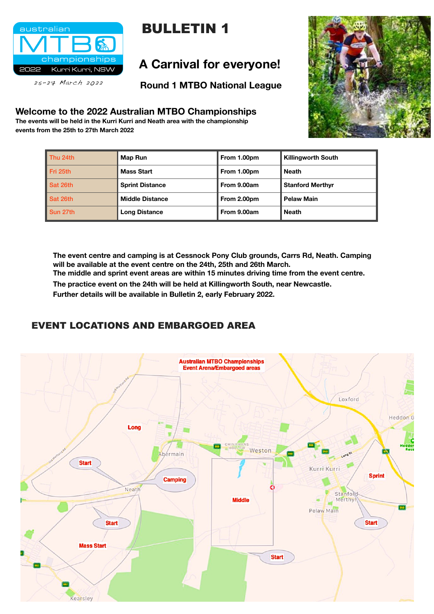

25-27 March 2022

#### **Welcome to the 2022 Australian MTBO Championships**

**The events will be held in the Kurri Kurri and Neath area with the championship events from the 25th to 27th March 2022** 

## **A Carnival for everyone!**

**Round 1 MTBO National League** 



| Thu 24th | <b>Map Run</b>         | From 1.00pm | <b>Killingworth South</b> |
|----------|------------------------|-------------|---------------------------|
| Fri 25th | <b>Mass Start</b>      | From 1.00pm | <b>Neath</b>              |
| Sat 26th | <b>Sprint Distance</b> | From 9.00am | <b>Stanford Merthyr</b>   |
| Sat 26th | <b>Middle Distance</b> | From 2.00pm | <b>Pelaw Main</b>         |
| Sun 27th | <b>Long Distance</b>   | From 9.00am | <b>Neath</b>              |

**The event centre and camping is at Cessnock Pony Club grounds, Carrs Rd, Neath. Camping will be available at the event centre on the 24th, 25th and 26th March. The middle and sprint event areas are within 15 minutes driving time from the event centre.** 

**The practice event on the 24th will be held at Killingworth South, near Newcastle.** 

**Further details will be available in Bulletin 2, early February 2022.** 

## EVENT LOCATIONS AND EMBARGOED AREA



# BULLETIN 1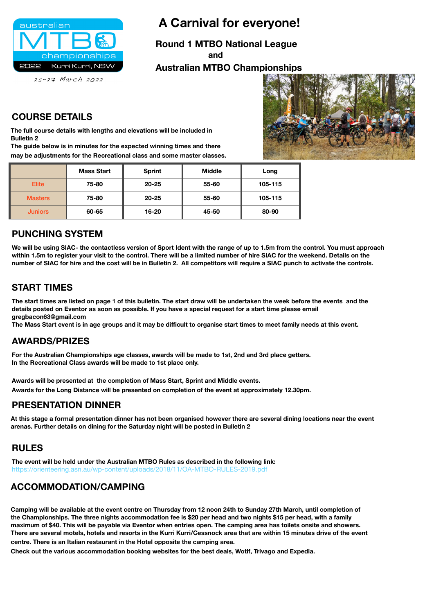

 **A Carnival for everyone!**

**Round 1 MTBO National League** 

 **and** 

#### **Australian MTBO Championships**



 $25 - 27$  March  $2022$ 

|                | <b>Mass Start</b> | <b>Sprint</b> | <b>Middle</b> | Long    |
|----------------|-------------------|---------------|---------------|---------|
| <b>Elite</b>   | 75-80             | $20 - 25$     | 55-60         | 105-115 |
| <b>Masters</b> | 75-80             | $20 - 25$     | 55-60         | 105-115 |
| <b>Juniors</b> | 60-65             | $16 - 20$     | 45-50         | 80-90   |

#### **COURSE DETAILS**

**The full course details with lengths and elevations will be included in Bulletin 2** 

**The guide below is in minutes for the expected winning times and there may be adjustments for the Recreational class and some master classes.**

#### **PUNCHING SYSTEM**

**We will be using SIAC- the contactless version of Sport Ident with the range of up to 1.5m from the control. You must approach within 1.5m to register your visit to the control. There will be a limited number of hire SIAC for the weekend. Details on the number of SIAC for hire and the cost will be in Bulletin 2. All competitors will require a SIAC punch to activate the controls.**

#### **START TIMES**

**The start times are listed on page 1 of this bulletin. The start draw will be undertaken the week before the events and the details posted on Eventor as soon as possible. If you have a special request for a start time please email [gregbacon63@gmail.com](mailto:gregbacon63@gmail.com)**

**The Mass Start event is in age groups and it may be difficult to organise start times to meet family needs at this event.** 

#### **AWARDS/PRIZES**

**For the Australian Championships age classes, awards will be made to 1st, 2nd and 3rd place getters. In the Recreational Class awards will be made to 1st place only.** 

**Awards will be presented at the completion of Mass Start, Sprint and Middle events. Awards for the Long Distance will be presented on completion of the event at approximately 12.30pm.**

#### **PRESENTATION DINNER**

**At this stage a formal presentation dinner has not been organised however there are several dining locations near the event arenas. Further details on dining for the Saturday night will be posted in Bulletin 2**

## **RULES**

**The event will be held under the Australian MTBO Rules as described in the following link:** 

#### **ACCOMMODATION/CAMPING**

**Camping will be available at the event centre on Thursday from 12 noon 24th to Sunday 27th March, until completion of the Championships. The three nights accommodation fee is \$20 per head and two nights \$15 per head, with a family maximum of \$40. This will be payable via Eventor when entries open. The camping area has toilets onsite and showers. There are several motels, hotels and resorts in the Kurri Kurri/Cessnock area that are within 15 minutes drive of the event centre. There is an Italian restaurant in the Hotel opposite the camping area.** 

**Check out the various accommodation booking websites for the best deals, Wotif, Trivago and Expedia.**